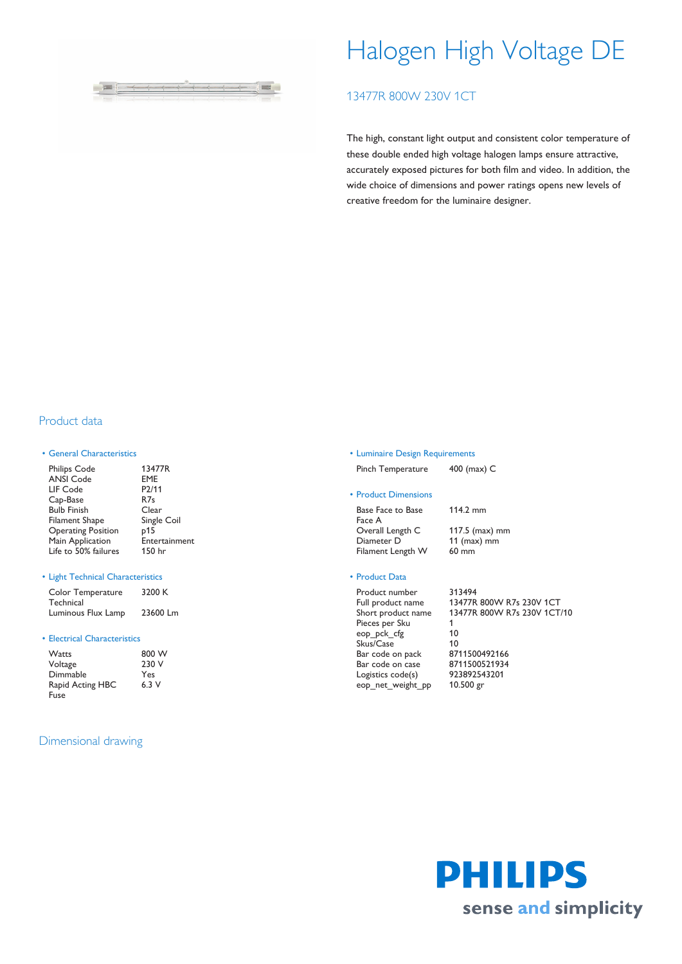

# Halogen High Voltage DE

# 13477R 800W 230V 1CT

The high, constant light output and consistent color temperature of these double ended high voltage halogen lamps ensure attractive, accurately exposed pictures for both film and video. In addition, the wide choice of dimensions and power ratings opens new levels of creative freedom for the luminaire designer.

## Product data

## • General Characteristics

| 13477R             |
|--------------------|
|                    |
| <b>EME</b>         |
| P <sub>2</sub> /11 |
| R <sub>7s</sub>    |
| Clear              |
| Single Coil        |
| p15                |
| Entertainment      |
| 150 hr             |
|                    |

## • Light Technical Characteristics

| Color Temperature  | 3200 K   |
|--------------------|----------|
| Technical          |          |
| Luminous Flux Lamp | 23600 Lm |

#### • Electrical Characteristics

| <b>Watts</b>     | 800 W |
|------------------|-------|
| Voltage          | 230 V |
| Dimmable         | Yes   |
| Rapid Acting HBC | 6.3V  |
| Fuse             |       |

## Dimensional drawing

## • Luminaire Design Requirements

Pinch Temperature 400 (max) C

## • Product Dimensions

Base Face to Base Face A Overall Length C 117.5 (max) mm<br>
Diameter D 11 (max) mm Filament Length W 60 mm

114.2 mm 11 (max) mm

## • Product Data

| Product number     | 313494                      |
|--------------------|-----------------------------|
| Full product name  | 13477R 800W R7s 230V 1CT    |
| Short product name | 13477R 800W R7s 230V 1CT/10 |
| Pieces per Sku     |                             |
| eop pck cfg        | 10                          |
| Skus/Case          | 10                          |
| Bar code on pack   | 8711500492166               |
| Bar code on case   | 8711500521934               |
| Logistics code(s)  | 923892543201                |
| eop net weight pp  | $10.500$ gr                 |